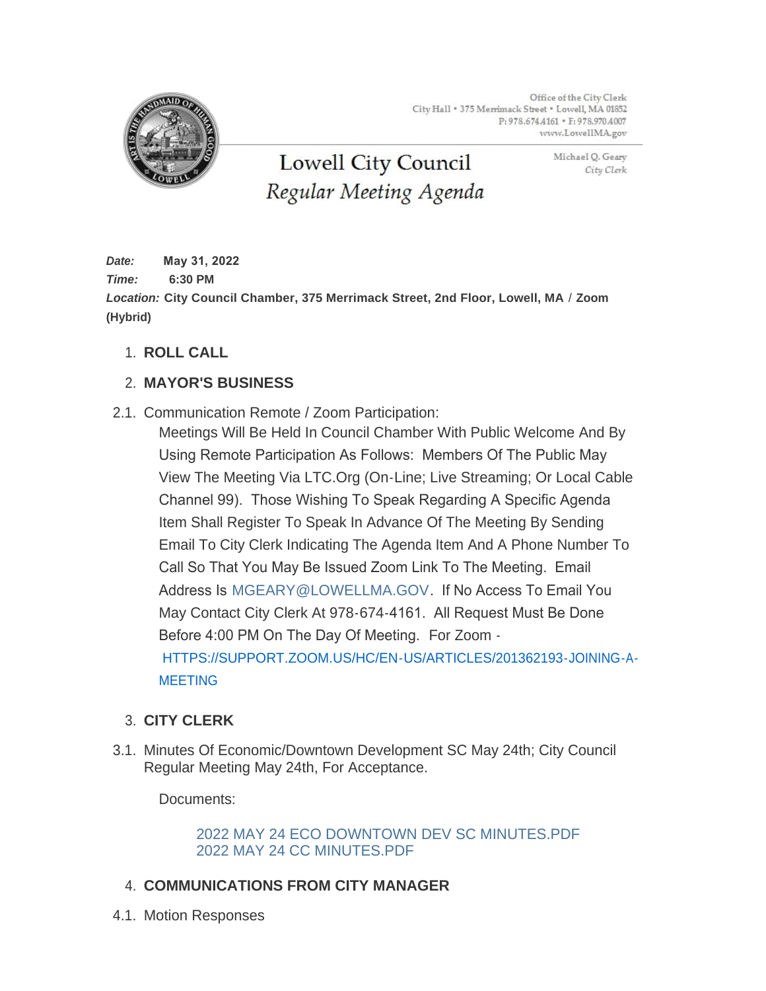Office of the City Clerk City Hall . 375 Merrimack Street . Lowell, MA 01852 P: 978.674.4161 · F: 978.970.4007 www.LowellMA.gov



**Lowell City Council** Regular Meeting Agenda Michael Q. Geary City Clerk

*Date:* **May 31, 2022** *Time:* **6:30 PM** *Location:* **City Council Chamber, 375 Merrimack Street, 2nd Floor, Lowell, MA** / **Zoom (Hybrid)**

**ROLL CALL** 1.

# **MAYOR'S BUSINESS** 2.

2.1. Communication Remote / Zoom Participation:

Meetings Will Be Held In Council Chamber With Public Welcome And By Using Remote Participation As Follows: Members Of The Public May View The Meeting Via LTC.Org (On-Line; Live Streaming; Or Local Cable Channel 99). Those Wishing To Speak Regarding A Specific Agenda Item Shall Register To Speak In Advance Of The Meeting By Sending Email To City Clerk Indicating The Agenda Item And A Phone Number To Call So That You May Be Issued Zoom Link To The Meeting. Email Address Is [MGEARY@LOWELLMA.GOV](mailto:mgeary@lowellma.gov). If No Access To Email You May Contact City Clerk At 978-674-4161. All Request Must Be Done Before 4:00 PM On The Day Of Meeting. For Zoom - [HTTPS://SUPPORT.ZOOM.US/HC/EN-US/ARTICLES/201362193-JOINING-A-](https://support.zoom.us/hc/en-us/articles/201362193-Joining-a-Meeting)MEETING

# **CITY CLERK** 3.

3.1. Minutes Of Economic/Downtown Development SC May 24th; City Council Regular Meeting May 24th, For Acceptance.

Documents:

[2022 MAY 24 ECO DOWNTOWN DEV SC MINUTES.PDF](https://www.lowellma.gov/AgendaCenter/ViewFile/Item/20039?fileID=43457) [2022 MAY 24 CC MINUTES.PDF](https://www.lowellma.gov/AgendaCenter/ViewFile/Item/20039?fileID=43458)

- **COMMUNICATIONS FROM CITY MANAGER** 4.
- 4.1. Motion Responses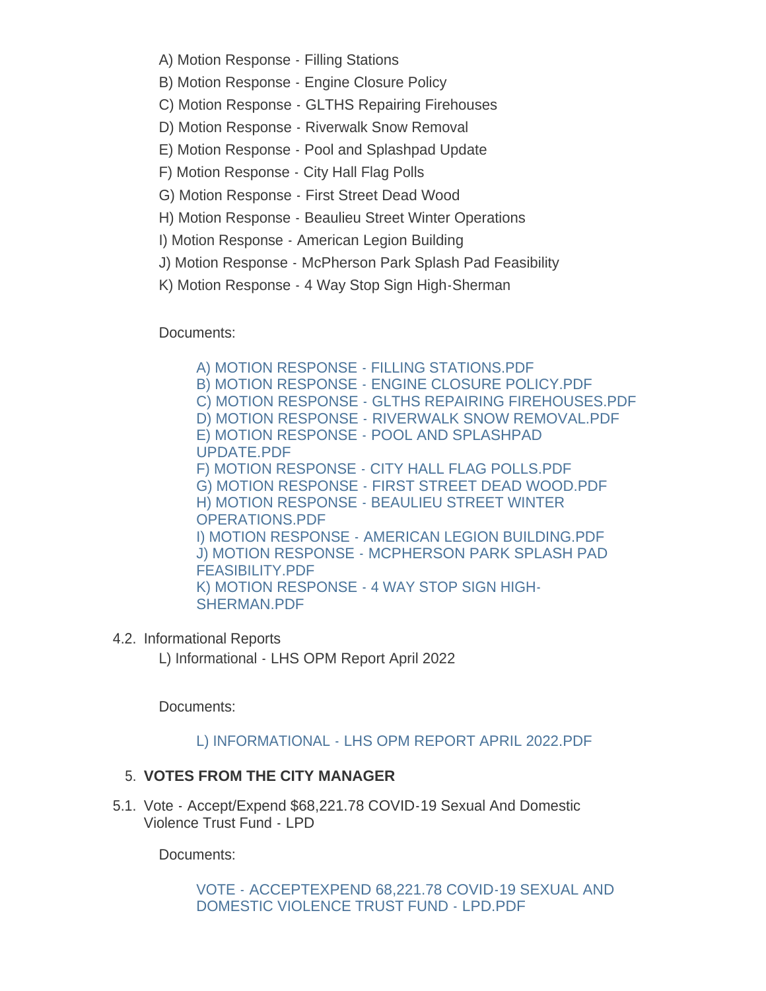- A) Motion Response Filling Stations
- B) Motion Response Engine Closure Policy
- C) Motion Response GLTHS Repairing Firehouses
- D) Motion Response Riverwalk Snow Removal
- E) Motion Response Pool and Splashpad Update
- F) Motion Response City Hall Flag Polls
- G) Motion Response First Street Dead Wood
- H) Motion Response Beaulieu Street Winter Operations
- I) Motion Response American Legion Building
- J) Motion Response McPherson Park Splash Pad Feasibility
- K) Motion Response 4 Way Stop Sign High-Sherman

Documents:

[A\) MOTION RESPONSE - FILLING STATIONS.PDF](https://www.lowellma.gov/AgendaCenter/ViewFile/Item/20066?fileID=43476) [B\) MOTION RESPONSE - ENGINE CLOSURE POLICY.PDF](https://www.lowellma.gov/AgendaCenter/ViewFile/Item/20066?fileID=43477) [C\) MOTION RESPONSE - GLTHS REPAIRING FIREHOUSES.PDF](https://www.lowellma.gov/AgendaCenter/ViewFile/Item/20066?fileID=43478) [D\) MOTION RESPONSE - RIVERWALK SNOW REMOVAL.PDF](https://www.lowellma.gov/AgendaCenter/ViewFile/Item/20066?fileID=43479) [E\) MOTION RESPONSE - POOL AND SPLASHPAD](https://www.lowellma.gov/AgendaCenter/ViewFile/Item/20066?fileID=43480)  UPDATE.PDF [F\) MOTION RESPONSE - CITY HALL FLAG POLLS.PDF](https://www.lowellma.gov/AgendaCenter/ViewFile/Item/20066?fileID=43471) [G\) MOTION RESPONSE - FIRST STREET DEAD WOOD.PDF](https://www.lowellma.gov/AgendaCenter/ViewFile/Item/20066?fileID=43472) [H\) MOTION RESPONSE - BEAULIEU STREET WINTER](https://www.lowellma.gov/AgendaCenter/ViewFile/Item/20066?fileID=43473)  OPERATIONS.PDF [I\) MOTION RESPONSE - AMERICAN LEGION BUILDING.PDF](https://www.lowellma.gov/AgendaCenter/ViewFile/Item/20066?fileID=43474) [J\) MOTION RESPONSE - MCPHERSON PARK SPLASH PAD](https://www.lowellma.gov/AgendaCenter/ViewFile/Item/20066?fileID=43481)  FEASIBILITY.PDF [K\) MOTION RESPONSE - 4 WAY STOP SIGN HIGH-](https://www.lowellma.gov/AgendaCenter/ViewFile/Item/20066?fileID=43475)SHERMAN.PDF

4.2. Informational Reports

L) Informational - LHS OPM Report April 2022

Documents:

#### [L\) INFORMATIONAL - LHS OPM REPORT APRIL 2022.PDF](https://www.lowellma.gov/AgendaCenter/ViewFile/Item/20067?fileID=43482)

#### **VOTES FROM THE CITY MANAGER** 5.

5.1. Vote - Accept/Expend \$68,221.78 COVID-19 Sexual And Domestic Violence Trust Fund - LPD

Documents:

[VOTE - ACCEPTEXPEND 68,221.78 COVID-19 SEXUAL AND](https://www.lowellma.gov/AgendaCenter/ViewFile/Item/20062?fileID=43467)  DOMESTIC VIOLENCE TRUST FUND - LPD.PDF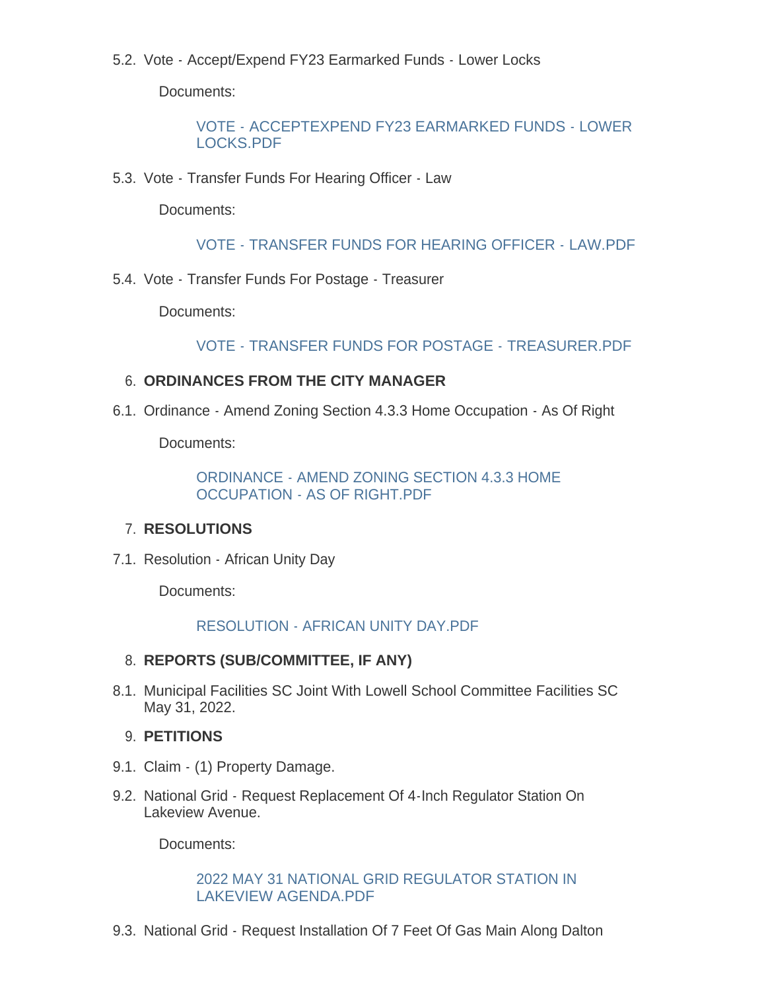5.2. Vote - Accept/Expend FY23 Earmarked Funds - Lower Locks

Documents:

[VOTE - ACCEPTEXPEND FY23 EARMARKED FUNDS - LOWER](https://www.lowellma.gov/AgendaCenter/ViewFile/Item/20063?fileID=43468)  LOCKS.PDF

5.3. Vote - Transfer Funds For Hearing Officer - Law

Documents:

[VOTE - TRANSFER FUNDS FOR HEARING OFFICER - LAW.PDF](https://www.lowellma.gov/AgendaCenter/ViewFile/Item/20064?fileID=43469)

5.4. Vote - Transfer Funds For Postage - Treasurer

Documents:

[VOTE - TRANSFER FUNDS FOR POSTAGE - TREASURER.PDF](https://www.lowellma.gov/AgendaCenter/ViewFile/Item/20065?fileID=43470)

# **ORDINANCES FROM THE CITY MANAGER** 6.

6.1. Ordinance - Amend Zoning Section 4.3.3 Home Occupation - As Of Right

Documents:

[ORDINANCE - AMEND ZONING SECTION 4.3.3 HOME](https://www.lowellma.gov/AgendaCenter/ViewFile/Item/20060?fileID=43465)  OCCUPATION - AS OF RIGHT.PDF

# **RESOLUTIONS**  7.

7.1. Resolution - African Unity Day

Documents:

# [RESOLUTION - AFRICAN UNITY DAY.PDF](https://www.lowellma.gov/AgendaCenter/ViewFile/Item/20061?fileID=43466)

# **REPORTS (SUB/COMMITTEE, IF ANY)** 8.

8.1. Municipal Facilities SC Joint With Lowell School Committee Facilities SC May 31, 2022.

### **PETITIONS** 9.

- 9.1. Claim (1) Property Damage.
- 9.2. National Grid Request Replacement Of 4-Inch Regulator Station On Lakeview Avenue.

Documents:

#### [2022 MAY 31 NATIONAL GRID REGULATOR STATION IN](https://www.lowellma.gov/AgendaCenter/ViewFile/Item/20056?fileID=43459)  LAKEVIEW AGENDA.PDF

9.3. National Grid - Request Installation Of 7 Feet Of Gas Main Along Dalton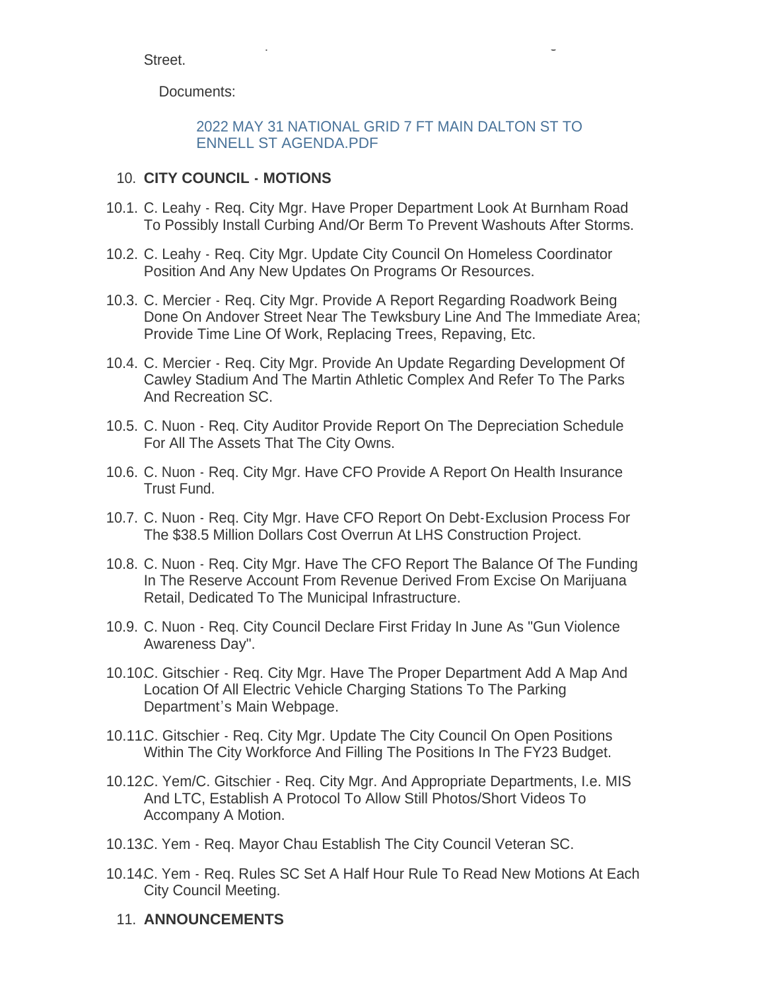National Grid - Request Installation Of 7 Feet Of Gas Main Along Dalton Street.

Documents:

### [2022 MAY 31 NATIONAL GRID 7 FT MAIN DALTON ST TO](https://www.lowellma.gov/AgendaCenter/ViewFile/Item/20057?fileID=43460)  ENNELL ST AGENDA.PDF

## **CITY COUNCIL - MOTIONS** 10.

- 10.1. C. Leahy Req. City Mgr. Have Proper Department Look At Burnham Road To Possibly Install Curbing And/Or Berm To Prevent Washouts After Storms.
- 10.2. C. Leahy Req. City Mgr. Update City Council On Homeless Coordinator Position And Any New Updates On Programs Or Resources.
- 10.3. C. Mercier Req. City Mgr. Provide A Report Regarding Roadwork Being Done On Andover Street Near The Tewksbury Line And The Immediate Area; Provide Time Line Of Work, Replacing Trees, Repaving, Etc.
- 10.4. C. Mercier Req. City Mgr. Provide An Update Regarding Development Of Cawley Stadium And The Martin Athletic Complex And Refer To The Parks And Recreation SC.
- 10.5. C. Nuon Req. City Auditor Provide Report On The Depreciation Schedule For All The Assets That The City Owns.
- 10.6. C. Nuon Req. City Mgr. Have CFO Provide A Report On Health Insurance Trust Fund.
- 10.7. C. Nuon Req. City Mgr. Have CFO Report On Debt-Exclusion Process For The \$38.5 Million Dollars Cost Overrun At LHS Construction Project.
- 10.8. C. Nuon Req. City Mgr. Have The CFO Report The Balance Of The Funding In The Reserve Account From Revenue Derived From Excise On Marijuana Retail, Dedicated To The Municipal Infrastructure.
- 10.9. C. Nuon Req. City Council Declare First Friday In June As "Gun Violence Awareness Day".
- 10.10C. Gitschier Req. City Mgr. Have The Proper Department Add A Map And Location Of All Electric Vehicle Charging Stations To The Parking Department's Main Webpage.
- 10.11 C. Gitschier Req. City Mgr. Update The City Council On Open Positions Within The City Workforce And Filling The Positions In The FY23 Budget.
- 10.12C. Yem/C. Gitschier Req. City Mgr. And Appropriate Departments, I.e. MIS And LTC, Establish A Protocol To Allow Still Photos/Short Videos To Accompany A Motion.
- 10.13C. Yem Req. Mayor Chau Establish The City Council Veteran SC.
- 10.14C. Yem Req. Rules SC Set A Half Hour Rule To Read New Motions At Each City Council Meeting.
	- 11. ANNOUNCEMENTS